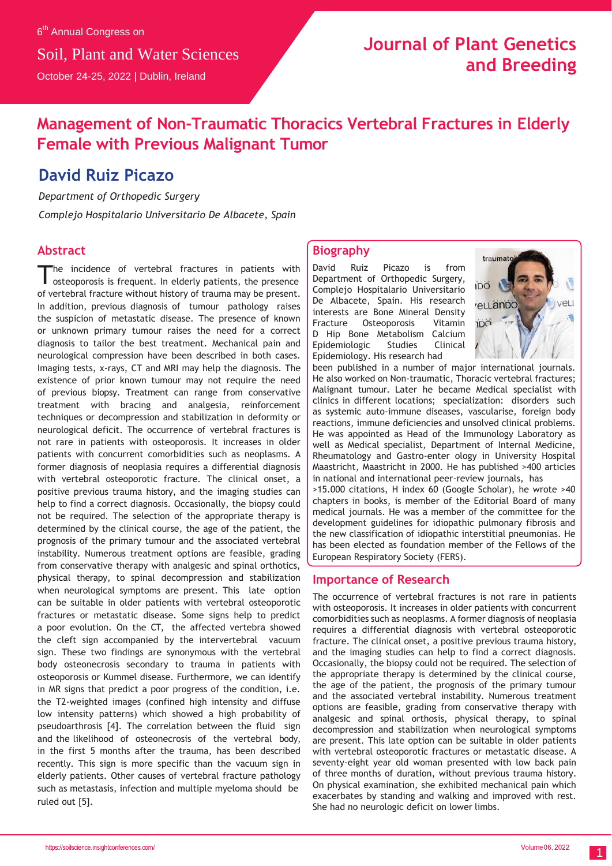## **Journal of Plant Genetics and Breeding**

## **Management of Non-Traumatic Thoracics Vertebral Fractures in Elderly Female with Previous Malignant Tumor**

### **David Ruiz Picazo**

*Department of Orthopedic Surgery*

*Complejo Hospitalario Universitario De Albacete, Spain*

### **Abstract**

he incidence of vertebral fractures in patients with osteoporosis is frequent. In elderly patients, the presence of vertebral fracture without history of trauma may be present. In addition, previous diagnosis of tumour pathology raises the suspicion of metastatic disease. The presence of known or unknown primary tumour raises the need for a correct diagnosis to tailor the best treatment. Mechanical pain and neurological compression have been described in both cases. Imaging tests, x-rays, CT and MRI may help the diagnosis. The existence of prior known tumour may not require the need of previous biopsy. Treatment can range from conservative treatment with bracing and analgesia, reinforcement techniques or decompression and stabilization in deformity or neurological deficit. The occurrence of vertebral fractures is not rare in patients with osteoporosis. It increases in older patients with concurrent comorbidities such as neoplasms. A former diagnosis of neoplasia requires a differential diagnosis with vertebral osteoporotic fracture. The clinical onset, a positive previous trauma history, and the imaging studies can help to find a correct diagnosis. Occasionally, the biopsy could not be required. The selection of the appropriate therapy is determined by the clinical course, the age of the patient, the prognosis of the primary tumour and the associated vertebral instability. Numerous treatment options are feasible, grading from conservative therapy with analgesic and spinal orthotics, physical therapy, to spinal decompression and stabilization when neurological symptoms are present. This late option can be suitable in older patients with vertebral osteoporotic fractures or metastatic disease. Some signs help to predict a poor evolution. On the CT, the affected vertebra showed the cleft sign accompanied by the intervertebral vacuum sign. These two findings are synonymous with the vertebral body osteonecrosis secondary to trauma in patients with osteoporosis or Kummel disease. Furthermore, we can identify in MR signs that predict a poor progress of the condition, i.e. the T2-weighted images (confined high intensity and diffuse low intensity patterns) which showed a high probability of pseudoarthrosis [4]. The correlation between the fluid sign and the likelihood of osteonecrosis of the vertebral body, in the first 5 months after the trauma, has been described recently. This sign is more specific than the vacuum sign in elderly patients. Other causes of vertebral fracture pathology such as metastasis, infection and multiple myeloma should be ruled out [5].

#### **Biography**

David Ruiz Picazo is from Department of Orthopedic Surgery, Complejo Hospitalario Universitario De Albacete, Spain. His research interests are Bone Mineral Density Fracture Osteoporosis Vitamin D Hip Bone Metabolism Calcium Epidemiologic Studies Clinical Epidemiology. His research had



been published in a number of major international journals. He also worked on Non-traumatic, Thoracic vertebral fractures; Malignant tumour. Later he became Medical specialist with clinics in different locations; specialization: disorders such as systemic auto-immune diseases, vascularise, foreign body reactions, immune deficiencies and unsolved clinical problems. He was appointed as Head of the Immunology Laboratory as well as Medical specialist, Department of Internal Medicine, Rheumatology and Gastro-enter ology in University Hospital Maastricht, Maastricht in 2000. He has published >400 articles in national and international peer-review journals, has >15.000 citations, H index 60 (Google Scholar), he wrote >40 chapters in books, is member of the Editorial Board of many medical journals. He was a member of the committee for the development guidelines for idiopathic pulmonary fibrosis and the new classification of idiopathic interstitial pneumonias. He has been elected as foundation member of the Fellows of the European Respiratory Society (FERS).

#### **Importance of Research**

The occurrence of vertebral fractures is not rare in patients with osteoporosis. It increases in older patients with concurrent comorbidities such as neoplasms. A former diagnosis of neoplasia requires a differential diagnosis with vertebral osteoporotic fracture. The clinical onset, a positive previous trauma history, and the imaging studies can help to find a correct diagnosis. Occasionally, the biopsy could not be required. The selection of the appropriate therapy is determined by the clinical course, the age of the patient, the prognosis of the primary tumour and the associated vertebral instability. Numerous treatment options are feasible, grading from conservative therapy with analgesic and spinal orthosis, physical therapy, to spinal decompression and stabilization when neurological symptoms are present. This late option can be suitable in older patients with vertebral osteoporotic fractures or metastatic disease. A seventy-eight year old woman presented with low back pain of three months of duration, without previous trauma history. On physical examination, she exhibited mechanical pain which exacerbates by standing and walking and improved with rest. She had no neurologic deficit on lower limbs.